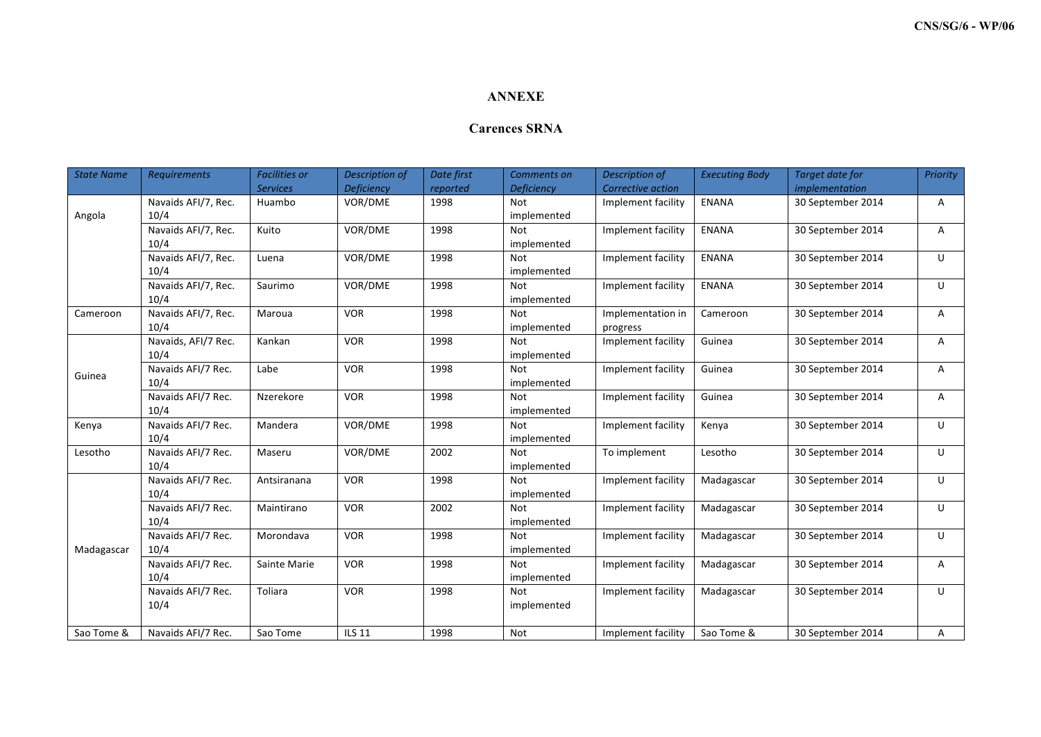## **ANNEXE**

## **Carences SRNA**

| <b>State Name</b> | <b>Requirements</b>        | <b>Facilities or</b> | Description of | Date first | Comments on | Description of     | <b>Executing Body</b> | <b>Target date for</b> | Priority |
|-------------------|----------------------------|----------------------|----------------|------------|-------------|--------------------|-----------------------|------------------------|----------|
|                   |                            | <b>Services</b>      | Deficiency     | reported   | Deficiency  | Corrective action  |                       | implementation         |          |
| Angola            | Navaids AFI/7, Rec.        | Huambo               | VOR/DME        | 1998       | <b>Not</b>  | Implement facility | <b>ENANA</b>          | 30 September 2014      | Α        |
|                   | 10/4                       |                      |                |            | implemented |                    |                       |                        |          |
|                   | Navaids AFI/7, Rec.        | Kuito                | VOR/DME        | 1998       | <b>Not</b>  | Implement facility | <b>ENANA</b>          | 30 September 2014      | Α        |
|                   | 10/4                       |                      |                |            | implemented |                    |                       |                        |          |
|                   | Navaids AFI/7, Rec.        | Luena                | VOR/DME        | 1998       | <b>Not</b>  | Implement facility | <b>ENANA</b>          | 30 September 2014      | U        |
|                   | 10/4                       |                      |                |            | implemented |                    |                       |                        |          |
|                   | Navaids AFI/7, Rec.        | Saurimo              | VOR/DME        | 1998       | <b>Not</b>  | Implement facility | <b>ENANA</b>          | 30 September 2014      | $\cup$   |
|                   | 10/4                       |                      |                |            | implemented |                    |                       |                        |          |
| Cameroon          | Navaids AFI/7, Rec.        | Maroua               | <b>VOR</b>     | 1998       | <b>Not</b>  | Implementation in  | Cameroon              | 30 September 2014      | A        |
|                   | 10/4                       |                      |                |            | implemented | progress           |                       |                        |          |
| Guinea            | Navaids, AFI/7 Rec.        | Kankan               | <b>VOR</b>     | 1998       | <b>Not</b>  | Implement facility | Guinea                | 30 September 2014      | Α        |
|                   | 10/4                       |                      |                |            | implemented |                    |                       |                        |          |
|                   | Navaids AFI/7 Rec.         | Labe                 | <b>VOR</b>     | 1998       | Not         | Implement facility | Guinea                | 30 September 2014      | Α        |
|                   | 10/4                       |                      |                |            | implemented |                    |                       |                        |          |
|                   | Navaids AFI/7 Rec.         | Nzerekore            | <b>VOR</b>     | 1998       | <b>Not</b>  | Implement facility | Guinea                | 30 September 2014      | A        |
|                   | 10/4                       |                      |                |            | implemented |                    |                       |                        |          |
| Kenya             | Navaids AFI/7 Rec.         | Mandera              | VOR/DME        | 1998       | <b>Not</b>  | Implement facility | Kenya                 | 30 September 2014      | U        |
|                   | 10/4                       |                      |                |            | implemented |                    |                       |                        |          |
| Lesotho           | Navaids AFI/7 Rec.         | Maseru               | VOR/DME        | 2002       | Not         | To implement       | Lesotho               | 30 September 2014      | U        |
|                   | 10/4                       |                      |                |            | implemented |                    |                       |                        |          |
| Madagascar        | Navaids AFI/7 Rec.         | Antsiranana          | <b>VOR</b>     | 1998       | <b>Not</b>  | Implement facility | Madagascar            | 30 September 2014      | $\cup$   |
|                   | 10/4                       |                      |                |            | implemented |                    |                       |                        |          |
|                   | Navaids AFI/7 Rec.         | Maintirano           | <b>VOR</b>     | 2002       | <b>Not</b>  | Implement facility | Madagascar            | 30 September 2014      | U        |
|                   | 10/4                       |                      |                |            | implemented |                    |                       |                        |          |
|                   | Navaids AFI/7 Rec.         | Morondava            | <b>VOR</b>     | 1998       | <b>Not</b>  | Implement facility | Madagascar            | 30 September 2014      | U        |
|                   | 10/4                       |                      |                |            | implemented |                    |                       |                        |          |
|                   | Navaids AFI/7 Rec.<br>10/4 | Sainte Marie         | <b>VOR</b>     | 1998       | <b>Not</b>  | Implement facility | Madagascar            | 30 September 2014      | A        |
|                   |                            |                      |                |            | implemented |                    |                       |                        |          |
|                   | Navaids AFI/7 Rec.         | Toliara              | <b>VOR</b>     | 1998       | <b>Not</b>  | Implement facility | Madagascar            | 30 September 2014      | U        |
|                   | 10/4                       |                      |                |            | implemented |                    |                       |                        |          |
| Sao Tome &        | Navaids AFI/7 Rec.         | Sao Tome             | <b>ILS 11</b>  | 1998       | Not         | Implement facility | Sao Tome &            | 30 September 2014      |          |
|                   |                            |                      |                |            |             |                    |                       |                        | Α        |